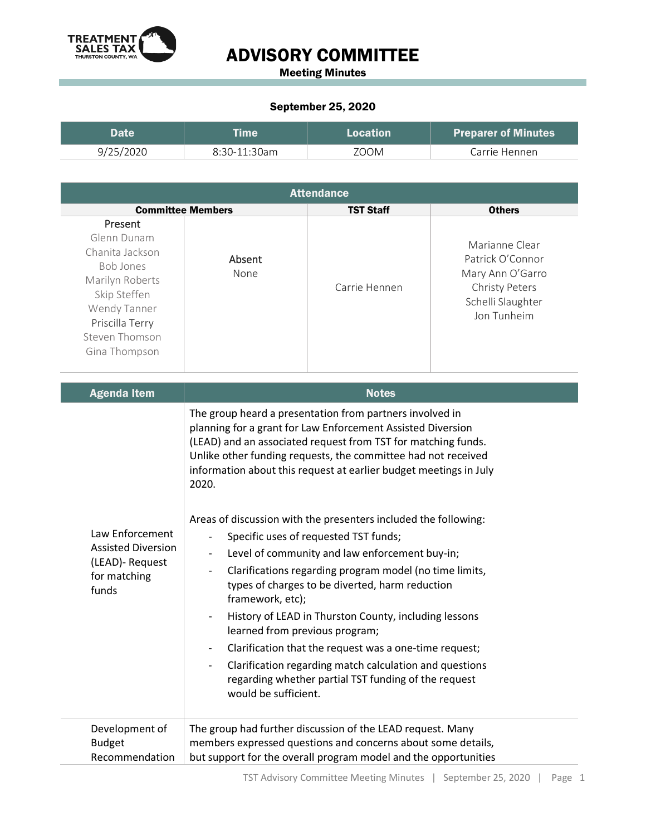

## ADVISORY COMMITTEE

Meeting Minutes

## September 25, 2020

| Date.     | <b>Time</b>    | Location | <b>Preparer of Minutes</b> |
|-----------|----------------|----------|----------------------------|
| 9/25/2020 | $8:30-11:30am$ | 700M     | Carrie Hennen              |

| <b>Attendance</b>                                                                                                   |                  |                |                                                                                                                                                |  |  |
|---------------------------------------------------------------------------------------------------------------------|------------------|----------------|------------------------------------------------------------------------------------------------------------------------------------------------|--|--|
| <b>Others</b>                                                                                                       | <b>TST Staff</b> |                | <b>Committee Members</b>                                                                                                                       |  |  |
| Marianne Clear<br>Patrick O'Connor<br>Mary Ann O'Garro<br><b>Christy Peters</b><br>Schelli Slaughter<br>Jon Tunheim | Carrie Hennen    | Absent<br>None | Present<br>Glenn Dunam<br>Chanita Jackson<br>Bob Jones<br>Marilyn Roberts<br>Skip Steffen<br>Wendy Tanner<br>Priscilla Terry<br>Steven Thomson |  |  |
|                                                                                                                     |                  |                | Gina Thompson                                                                                                                                  |  |  |

| <b>Agenda Item</b>                                                                       | <b>Notes</b>                                                                                                                                                                                                                                                                                                                                                                                                                                                                                                                                                                                                                                                                                                                                                                                                                                                                                                                                                                                                                |  |
|------------------------------------------------------------------------------------------|-----------------------------------------------------------------------------------------------------------------------------------------------------------------------------------------------------------------------------------------------------------------------------------------------------------------------------------------------------------------------------------------------------------------------------------------------------------------------------------------------------------------------------------------------------------------------------------------------------------------------------------------------------------------------------------------------------------------------------------------------------------------------------------------------------------------------------------------------------------------------------------------------------------------------------------------------------------------------------------------------------------------------------|--|
| Law Enforcement<br><b>Assisted Diversion</b><br>(LEAD)- Request<br>for matching<br>funds | The group heard a presentation from partners involved in<br>planning for a grant for Law Enforcement Assisted Diversion<br>(LEAD) and an associated request from TST for matching funds.<br>Unlike other funding requests, the committee had not received<br>information about this request at earlier budget meetings in July<br>2020.<br>Areas of discussion with the presenters included the following:<br>Specific uses of requested TST funds;<br>Level of community and law enforcement buy-in;<br>$\overline{\phantom{a}}$<br>Clarifications regarding program model (no time limits,<br>$\overline{\phantom{a}}$<br>types of charges to be diverted, harm reduction<br>framework, etc);<br>History of LEAD in Thurston County, including lessons<br>learned from previous program;<br>Clarification that the request was a one-time request;<br>$\overline{\phantom{a}}$<br>Clarification regarding match calculation and questions<br>regarding whether partial TST funding of the request<br>would be sufficient. |  |
| Development of<br><b>Budget</b><br>Recommendation                                        | The group had further discussion of the LEAD request. Many<br>members expressed questions and concerns about some details,<br>but support for the overall program model and the opportunities                                                                                                                                                                                                                                                                                                                                                                                                                                                                                                                                                                                                                                                                                                                                                                                                                               |  |